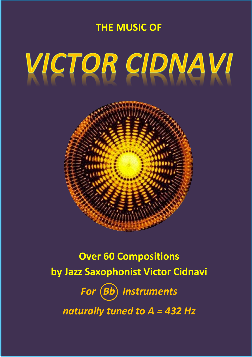### **THE MUSIC OF**

# VICTOR CIDNAVI



## **Over 60 Compositions by Jazz Saxophonist Victor Cidnavi** For (Bb) Instruments *naturally tuned to A = 432 Hz*